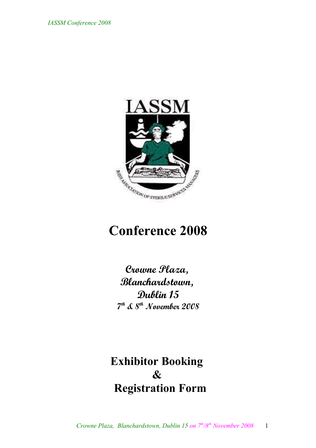

# **Conference 2008**

**Crowne Plaza, Blanchardstown, Dublin 15 7 th & 8th November 2008**

**Exhibitor Booking & Registration Form**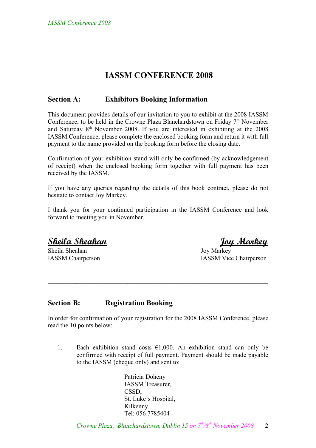### **IASSM CONFERENCE 2008**

#### **Section A: Exhibitors Booking Information**

This document provides details of our invitation to you to exhibit at the 2008 IASSM Conference, to be held in the Crowne Plaza Blanchardstown on Friday 7<sup>th</sup> November and Saturday  $8<sup>th</sup>$  November 2008. If you are interested in exhibiting at the 2008 IASSM Conference, please complete the enclosed booking form and return it with full payment to the name provided on the booking form before the closing date.

Confirmation of your exhibition stand will only be confirmed (by acknowledgement of receipt) when the enclosed booking form together with full payment has been received by the IASSM.

If you have any queries regarding the details of this book contract, please do not hesitate to contact Joy Markey.

I thank you for your continued participation in the IASSM Conference and look forward to meeting you in November.

**Sheila Sheahan Joy Markey**

Sheila Sheahan Joy Markey

IASSM Chairperson IASSM Vice Chairperson

#### **Section B: Registration Booking**

In order for confirmation of your registration for the 2008 IASSM Conference, please read the 10 points below:

 $\mathcal{L}_\text{max}$  , and the contribution of the contribution of the contribution of the contribution of the contribution of the contribution of the contribution of the contribution of the contribution of the contribution of t

1. Each exhibition stand costs  $\epsilon$ 1,000. An exhibition stand can only be confirmed with receipt of full payment. Payment should be made payable to the IASSM (cheque only) and sent to:

> Patricia Doheny IASSM Treasurer, CSSD, St. Luke's Hospital, Kilkenny Tel: 056 7785404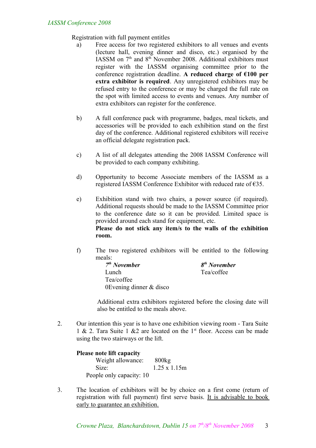Registration with full payment entitles

- a) Free access for two registered exhibitors to all venues and events (lecture hall, evening dinner and disco, etc.) organised by the IASSM on  $7<sup>th</sup>$  and  $8<sup>th</sup>$  November 2008. Additional exhibitors must register with the IASSM organising committee prior to the conference registration deadline. **A reduced charge of €100 per extra exhibitor is required**. Any unregistered exhibitors may be refused entry to the conference or may be charged the full rate on the spot with limited access to events and venues. Any number of extra exhibitors can register for the conference.
- b) A full conference pack with programme, badges, meal tickets, and accessories will be provided to each exhibition stand on the first day of the conference. Additional registered exhibitors will receive an official delegate registration pack.
- c) A list of all delegates attending the 2008 IASSM Conference will be provided to each company exhibiting.
- d) Opportunity to become Associate members of the IASSM as a registered IASSM Conference Exhibitor with reduced rate of €35.
- e) Exhibition stand with two chairs, a power source (if required). Additional requests should be made to the IASSM Committee prior to the conference date so it can be provided. Limited space is provided around each stand for equipment, etc. **Please do not stick any item/s to the walls of the exhibition**

**room.**

f) The two registered exhibitors will be entitled to the following meals:

| $7th$ November            | 8 |
|---------------------------|---|
| Lunch                     |   |
| Tea/coffee                |   |
| 0Evening dinner $&$ disco |   |

*th November* Tea/coffee

Additional extra exhibitors registered before the closing date will also be entitled to the meals above.

2. Our intention this year is to have one exhibition viewing room - Tara Suite 1 & 2. Tara Suite 1 & 2 are located on the  $1<sup>st</sup>$  floor. Access can be made using the two stairways or the lift.

#### **Please note lift capacity**

Weight allowance: 800kg Size: 1.25 x 1.15m People only capacity: 10

3. The location of exhibitors will be by choice on a first come (return of registration with full payment) first serve basis. It is advisable to book early to guarantee an exhibition.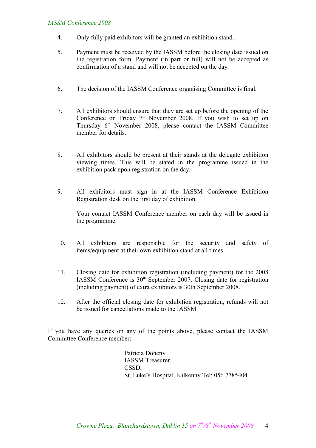#### *IASSM Conference 2008*

- 4. Only fully paid exhibitors will be granted an exhibition stand.
- 5. Payment must be received by the IASSM before the closing date issued on the registration form. Payment (in part or full) will not be accepted as confirmation of a stand and will not be accepted on the day.
- 6. The decision of the IASSM Conference organising Committee is final.
- 7. All exhibitors should ensure that they are set up before the opening of the Conference on Friday 7<sup>th</sup> November 2008. If you wish to set up on Thursday  $6<sup>th</sup>$  November 2008, please contact the IASSM Committee member for details
- 8. All exhibitors should be present at their stands at the delegate exhibition viewing times. This will be stated in the programme issued in the exhibition pack upon registration on the day.
- 9. All exhibitors must sign in at the IASSM Conference Exhibition Registration desk on the first day of exhibition.

Your contact IASSM Conference member on each day will be issued in the programme.

- 10. All exhibitors are responsible for the security and safety of items/equipment at their own exhibition stand at all times.
- 11. Closing date for exhibition registration (including payment) for the 2008 IASSM Conference is  $30<sup>th</sup>$  September 2007. Closing date for registration (including payment) of extra exhibitors is 30th September 2008.
- 12. After the official closing date for exhibition registration, refunds will not be issued for cancellations made to the IASSM.

If you have any queries on any of the points above, please contact the IASSM Committee Conference member:

> Patricia Doheny IASSM Treasurer, CSSD, St. Luke's Hospital, Kilkenny Tel: 056 7785404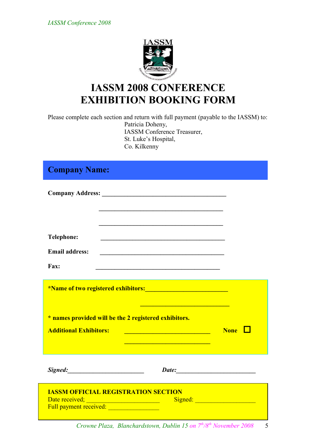

## **IASSM 2008 CONFERENCE EXHIBITION BOOKING FORM**

Please complete each section and return with full payment (payable to the IASSM) to: Patricia Doheny, IASSM Conference Treasurer, St. Luke's Hospital, Co. Kilkenny

## **Company Name:**

| <b>Telephone:</b>                                     | <u> 1989 - Johann Barbara, martxa alemaniar amerikan basar da a shekara a shekara a shekara a shekara a shekara</u>    |             |
|-------------------------------------------------------|------------------------------------------------------------------------------------------------------------------------|-------------|
| <b>Email address:</b>                                 |                                                                                                                        |             |
| Fax:                                                  |                                                                                                                        |             |
|                                                       | <u> 1989 - Johann Stoff, deutscher Stoffen und der Stoffen und der Stoffen und der Stoffen und der Stoffen und der</u> |             |
| * names provided will be the 2 registered exhibitors. |                                                                                                                        |             |
| <b>Additional Exhibitors:</b>                         | <u> 1989 - Johann Barbara, martxa amerikan per</u>                                                                     | <b>None</b> |
|                                                       |                                                                                                                        |             |
| Signed: Signed:                                       | Date:                                                                                                                  |             |
| <b>IASSM OFFICIAL REGISTRATION SECTION</b>            |                                                                                                                        |             |

 *Crowne Plaza, Blanchardstown, Dublin 15 on 7th/8th November 2008* 5